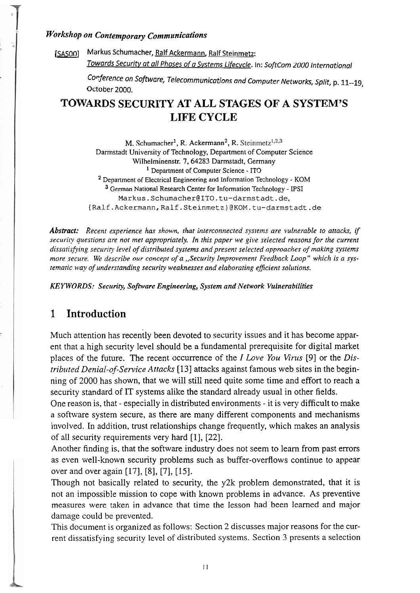#### $W$ orkshop on Contemporary Communications

[SASOO] Markus Schumacher, Ralf Ackermann, Ralf Steinmetz: Towards Security at all Phases of a Systems Lifecvcle. In: SoftCom 2000 International

> Conference on Software, Telecommunications and Computer Networks, Split, p. 11--19, October 2000.

# **TOWARDS SECURITY AT ALL STAGES OF A SYSTEM'S LIFE CYCLE**

M. Schumacher<sup>1</sup>, R. Ackermann<sup>2</sup>, R. Steinmetz<sup>1,2,3</sup> **Darmstadt University of Technology, Department of Computer Science Wilhelminenstr. 7,64283 Darmstadt, Germany Department of Computer Science** - **ITO Department of Electrical Engineering and Information Technology** - **KOM German National Research Center for Information Technology** - **PSI Markus.Schumacher@ITO.tu-darmstadt.de,**  (Ralf.Ackermann,Ra1f.Steinmetz.)@KOM.tu-darmstadt.de

*Abstract: Recent experience has shown, that interconnected systems are vulnerable to attacks, if*  security questions are not met appropriately. In this paper we give selected reasons for the current *dissatisfiing security level of distributed systems und present selected approaches of making systems*  more secure. We describe our concept of a "Security Improvement Feedback Loop" which is a sys*tematic way of understanding security weaknesses and elaborating efficient solutions.* 

*KEYWORDS: Seczcrity, Software Engineering, System und Network Vulnerabilities* 

## **1 Introduction**

Much attention has recently been devoted to security issues and it has become apparent that a high security level should be a fundamental prerequisite for digital market places of the future. The recent occurrence of the I *Love You Vints* [9] or the *Distributed Denial-of-Service Attacks* [13] attacks against famous web sites in the beginning of 2000 has shown, that we will still need quite some time and effort to reach a security standard of IT systems alike the standard already usual in other fields.

One reason is, that - especially in distributed environments - it is very difficult to make a software system secure, as there are many different components and mechanisms involved. In addition, tmst relationships change frequently, which makes an analysis of all security requirements very hard [I], [22].

Another finding is, that the software industry does not seem to learn from past errors as even well-known security problems such as buffer-overflows continue to appear over and over again [17], [8], [7], [15].

Though not basically related to security, the y2k problem demonstrated, that it is not an impossible mission to cope with known problems in advance. As preventive measures were taken in advance that time the lesson had been learned and major damage could be prevented.

This document is organized as follows: Section 2 discusses major reasons for the current dissatisfying security level of distributed systems. Section 3 presents a selection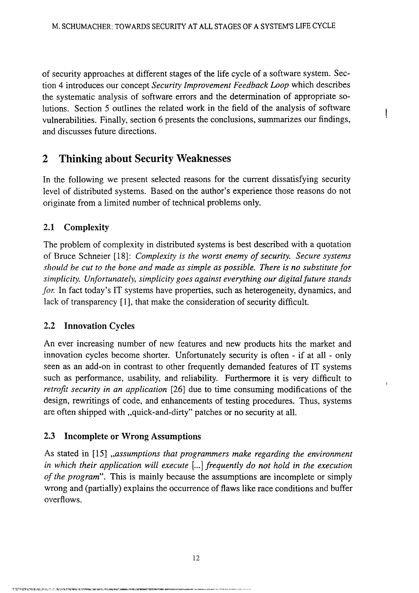of security approaches at different stages of the life cycle of a software system. Section 4 introduces our concept *Security Improvement Feedback bop* which describes the systematic analysis of software errors and the deterrnination of appropriate solutions. Section 5 outlines the related work in the field of the analysis of software vulnerabilities. Finally, section 6 presents the conclusions, summarizes our findings, and discusses future directions.

# **2 Thinking about Security Weaknesses**

In the following we present selected reasons for the current dissatisfying security level of distributed systems. Based,on the author's experience those reasons do not originate from a limited number of technical problems only.

### **2.1 Complexity**

The problem of complexity in distributed systems is best described with a quotation of Bmce Schneier [18]: *Complexity is the worst enemy of security. Secure systems sllould he cut to the bone and made as simple as possible. There is no substitute for simplicity. Unfortunately, simplicity goes against everything our digital future stands for.* In fact today's IT systems have properties, such as heterogeneity, dynamics, and lack of transparency [l], that make the consideration of secunty difficult.

#### **2.2 Innovation Cycles**

An ever increasing number of new features and new products hits the market and innovation cycles become shorter. Unfortunately security is often - if at all - only seen as an add-on in contrast to other frequently demanded features of IT systems such as performance, usability, and reliability. Furthermore it is very difficult to *retrojit security in an application* [26] due to time consuming modifications of the design, rewritings of code, and enhancements of testing procedures. Thus, systems are often shipped with ,,quick-and-dirty" patches or no secunty at all.

#### **2.3 Incomplete or Wrong Assumptions**

As stated in [15] *,,assumptions that programmers make regarding the environment in which their application will execute* [...I *frequently do not hold in the execution of the program".* This is mainly because the assumptions are incomplete or simply wrong and (partially) explains the occurrence of flaws like race conditions and buffer overflows.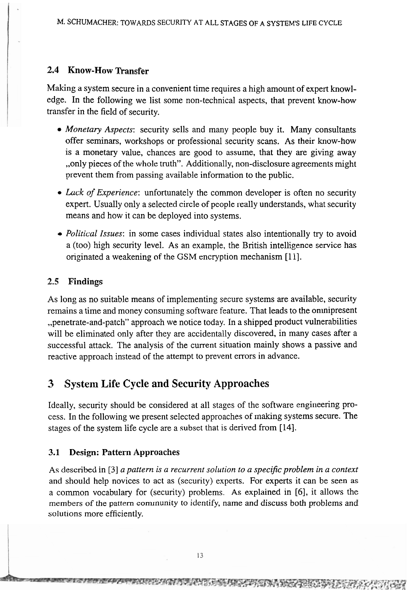## **2.4 Know-How Transfer**

Making a system secure in a convenient time requires a high amount of expert knowledge. In the following we list some non-technical aspects, that prevent know-how transfer in the field of security.

- *Monetary Aspects:* security sells and many people buy it. Many consultants offer seminars, workshops or professional security scans. As their know-how is a monetary value, chances are good to assume, that they are giving away ,,only pieces of the whole truth". Additionally, non-disclosure agreements might prevent them from passing available information to the public.
- *Lack of Experience*: unfortunately the common developer is often no security expert. Usually only a selected circle of people really understands, what security means and how it can be deployed into systems.
- *Political Issues:* in some cases individual states also intentionally try to avoid a (too) high security level. As an example, the British intelligence service has originated a weakening of the GSM encryption mechanism [ll].

#### **2.5 Findings**

As long as no suitable means of implementing secure systems are available, security remains a time and money consuming software feature. That leads to the omnipresent ,,penetrate-and-patch" approach we notice today. In a shipped product vulnerabilities will be eliminated only after they are accidentally discovered, in many cases after a successful attack. The analysis of the current situation mainly shows a passive and reactive approach instead of the attempt to prevent errors in advance.

# **3 System Life Cycle and Security Approaches**

Ideally, security should be considered at all stages of the software engineering process. In the following we present selected approaches of making systems secure. The stages of the system life cycle are a subset that is derived from [14].

### **3.1 Design: Pattern Approaches**

As described in [3] *a pattern is a recurrent solution to a specific problem in a context* and should help novices to act as (security) experts. For experts it can be Seen as a common vocabulary for (security) problems. As explained in [6], it allows the members of the pattern community to identify, name and discuss both problems and solutions more efficiently.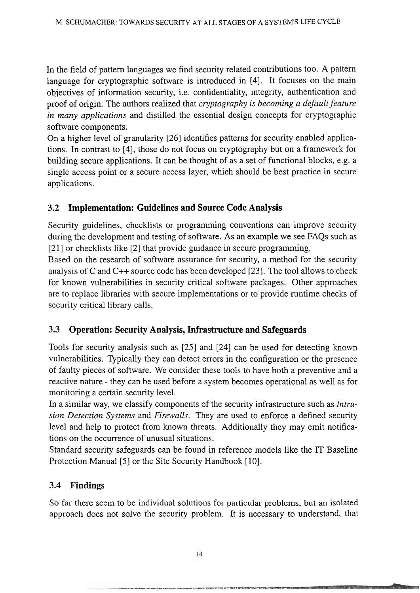In the field of pattern languages we find security related contributions too. A pattern language for cryptographic software is introduced in [4]. It focuses on the main objectives of information security, i.e. confidentiality, integrity, authentication and proof of origin. The authors realized that *cryptography is becoming a default feature in many applications* and distilled the essential design concepts for cryptographic software components.

On a higher level of granularity [26] identifies patterns for security enabled applications. In contrast to [4], those do not focus on cryptography but on a framework for building secure applications. It can be thought of as a Set of functional blocks, e.g. a single access point or a secure access layer, which should be best practice in secure applications.

#### **3.2 Implementation: Guidelines and Source Code Analysis**

Security guidelines, checklists or programming conventions can improve security during the development and testing of software. As an example we see FAQs such as [21] or checklists like [2] that provide guidance in secure programming.

Based on the research of software assurance for security, a method for the security analysis of C and C++ source code has been developed [23]. The tool allows to check for known vulnerabilities in security critical software packages. Other approaches are to replace libraries with secure implementations or to provide runtime checks of security critical library calls.

### **3.3 Operation: Security Analysis, Infrastructure and Safeguards**

Tools for security analysis such as [25] and [24] can be used for detecting known vulnerabilities. Typically they can detect errors in the configuration or the presence of faulty pieces of software. We consider these tools to have both a preventive and a reactive nature - they can be used before a System becomes operational as well as for monitoring a certain security level.

In a similar way, we classify components of the security infrastructure such as *Intrusion Detection Systems* and *Firewalls.* They are used to enforce a defined security level and help to protect from known threats. Additionally they may emit notifications on the occurrence of unusual situations.

Standard security safeguards can be found in reference models like the IT Baseline Protection Manual [5] or the Site Security Handbook [10].

#### **3.4 Findings**

So far there seem to be individual solutions for particular problems, but an isolated approach does not solve the security problem. It is necessary to understand, that

**THE REPORT OF A PARTICULAR STATE OF A STATE**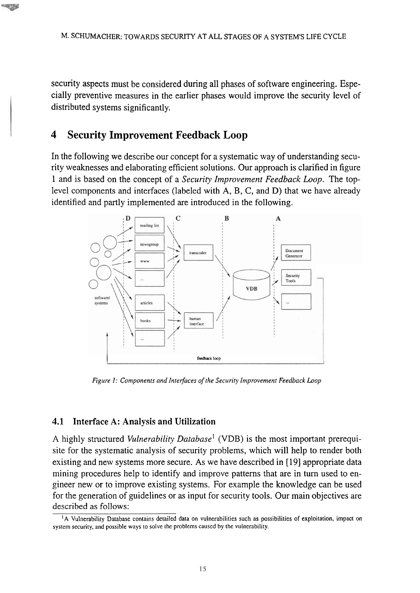security aspects must be considered during all phases of software engineering. Especially preventive measures in the earlier phases would improve the security level of distributed systems significantly.

#### **4 Security Improvement Feedback Loop**

In the following we describe our concept for a systematic way of understanding security weaknesses and elaborating efficient solutions. Our approach is clarified in figure 1 and is based on the concept of a **Security Improvement Feedback Loop.** The toplevel components and interfaces (labeled with A, B, C, and D) that we have already identified and partly implemented are introduced in the following.



*Figure 1: Components and Interfaces of the Security Improvement Feedback Loop* 

#### **4.1 Interface A: Analysis and Utilization**

A highly structured *Vulnerability Database*<sup>1</sup> (VDB) is the most important prerequisite for the systematic analysis of security problems, which will help to render both existing and new systems more secure. As we have described in [19] appropriate data mining procedures help to identify and improve patterns that are in turn used to engineer new or to improve existing systems. For example the knowledge can be used for the generation of guidelines or as input for security tools. Our main objectives are **described as follows:** 

<sup>&</sup>lt;sup>1</sup>A Vulnerability Database contains detailed data on vulnerabilities such as possibilities of exploitation, impact on **systern security, and possible ways to solve the problerns causcd by the vulnerability.**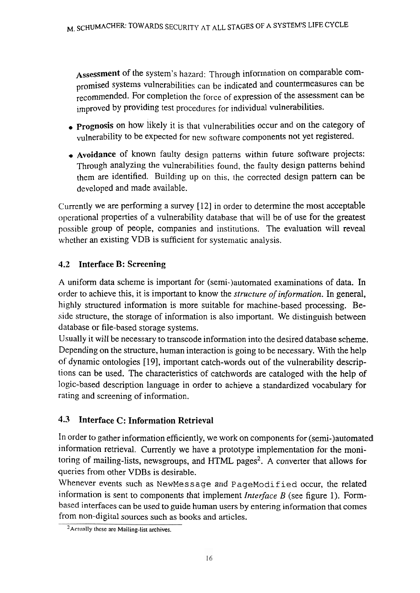Assessment of the system's hazard: Through information on comparable compromised systems vulnerabilities can be indicated and countermeasures can be recommended. For completion the force of expression of the assessment can be improved by providing test procedures for individual vulnerabilities.

- **prognosis** on how likely it is that vulnerabilities occur and on the category of vulnerability to be expected for new software components not yet registered.
- Avoidance of known faulty design patterns within future software projects: Through analyzing the vulnerabilities found, the faulty design pattems behind them are identified. Building up on this, the corrected design pattem can be developed and made available.

Currently we are perfonning a survey [12] in order to determine the most acceptable opcrational properties of a vulnerability database that will be of use for the greatest possible group of people, companies and institutions. The evaluation will reveal whether an existing VDB is sufficient for systematic analysis.

# **4.2 Interface B: Screening**

**A** uniform data scheme is important for (semi-)automated examinations of data. In order to achieve this, it is important to know the *structure of information.* In general, highly structured information is more suitable for machine-based processing. Beside structure, the storage of information is also important. We distinguish between database or file-based storage systems.

Usually it will be necessary to transcode information into the desired database scheme. Depending on the structure, human interaction is going to be necessary. With the help of dynamic ontologies [19], important catch-words out of the vulnerability descriptions can be used. The characteristics of catchwords are cataloged with the help of logic-based description language in order to achieve a standardized vocabulary for rating and screening of information.

# **4.3 Interface C: Information Retrieval**

In order to gather information efficiently, we work on components for (semi-)automated information retrieval. Currently we have a prototype implementation for the monitoring of mailing-lists, newsgroups, and HTML pages<sup>2</sup>. A converter that allows for queries from other VDBs is desirable.

Whenever events such as NewMessage and PageModi fied occur, the related information is sent to cornponents that implement *Interface* B (see figure 1). Formbased interfaces can be used to guide human users by entering information that comes from non-digital sources such as books and articles.

<sup>&</sup>lt;sup>2</sup> Actually these are Mailing-list archives.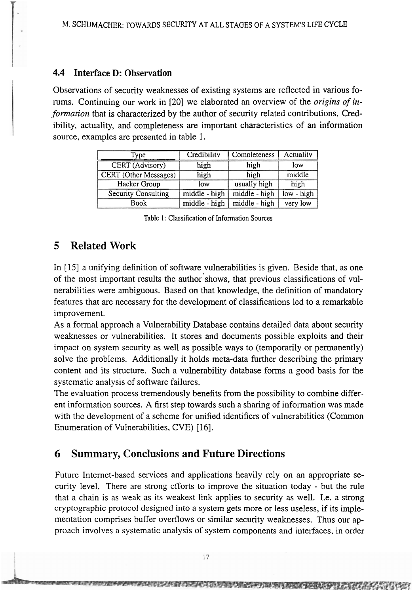#### **4.4 Interface D: Observation**

Observations of security weaknesses of existing systems are reflected in various forums. Continuing our work in [20] we elaborated an overview of the *origins of in*formation that is characterized by the author of security related contributions. Credibility, actuality, and completeness are important characteristics of an information source, examples are presented in table 1.

| Type                         | Credibility   | Completeness  | <b>Actuality</b> |
|------------------------------|---------------|---------------|------------------|
| <b>CERT</b> (Advisory)       | high          | high          | low              |
| <b>CERT</b> (Other Messages) | high          | high          | middle           |
| Hacker Group                 | low           | usually high  | high             |
| <b>Security Consulting</b>   | middle - high | middle - high | low - high       |
| <b>Book</b>                  | middle - high | middle - high | very low         |

Table 1: Classification of Information Sources

# **5 Related Work**

In [15] a unifying definition of software vulnerabilities is given. Beside that, as one of the most important results the author shows, that previous classifications of vulnerabilities were arnbiguous. Based on that knowledge, the definition of mandatory features that are necessary for the development of classifications led to a remarkable improvement.

As a formal approach a Vulnerability Database contains detailed data about security weaknesses or vulnerabilities. It Stores and documents possible exploits and their impact on systern security **as** well as possible ways to (temporarily or permanently) solve the problerns. Additionally it holds meta-data further describing the primary content and its structure. Such a vulnerability database forms a good basis for the systematic analysis of software failures.

The evaluation process tremendously benefits from the possibility to combine different information sources. A first step towards such a sharing of information was made with the development of a scheme for unified identifiers of vulnerabilities (Common Enumeration of Vulnerabilities, CVE) [16].

## **6 Summary, Conclusions and Future Directions**

Future Intemet-based services and applications heavily rely on an appropriate security level. There are strong efforts to improve the situation today - but the rule that a chain is as weak as its weakest link applies to security **as** well. 1.e. a strong cryptographic protocol designed into a system gets more or less useless, if its impIementation comprises buffer overflows or similar security weaknesses. Thus our approach involves a systematic analysis of system components and interfaces, in order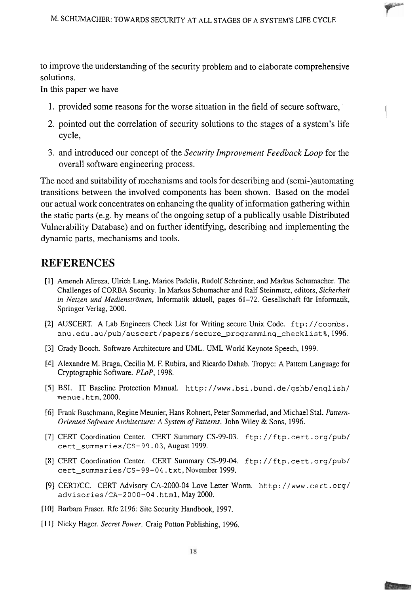to improve the uriderstanding of the security problem and to elaborate comprehensive solutions.

In this paper we have

- 1. provided some reasons for the worse situation in the field of secure software, ' 1
- 2. pointed out the correlation of security solutions to the Stages of a system's life cycle,
- 3. and introduced our concept of the *Security Improvement Feedback Loop* for the overall software engineering process.

The need and suitability of mechanisms and tools for describing and (semi-)automating transitions between the involved components has been shown. Based on the model our actual work concentrates on enhancing the quality of information gathering within the static parts (e.g. by means of the ongoing setup of a publically usable Distributed Vulnerability Database) and on further identifying, describing and implementing the dynamic parts, mechanisms and tools.

# **REFERENCES**

- [l] Ameneh Alireza, Ulrich Lang, Marios Padelis, Rudolf Schreiner, and Markus Schumacher. The Challenges of CORBA Secunty. In Markus Schumacher and Ralf Steinmetz, editors, *Sicherheit in Netzen und Medienströmen,* Informatik aktuell, pages 61-72. Gesellschaft für Informatik, Springer Verlag, 2000.
- [2] AUSCERT. A Lab Engineers Check List for Wnting secure Unix Code. ftp : / /coombs . anu.edu.au/pub/auscert/papers/secure\_programming\_checklist%,1996.
- [3] Grady Booch. Software Architecture and UML. UML World Keynote Speech, 1999.
- [4] Alexandre M. Braga, Cecilia M. F. Rubira, and Ricardo Dahab. Tropyc: A Pattern Language for Cryptographic Software. *PLoP,* 1998.
- [5] BSI. IT Baseline Protection Manual. http: //www. bsi . bund. de/gshb/english/ menue . htm, 2000.
- [6j Frank Buschmann, Regine Meunier, Hans Rohnert, Peter Sommerlad, and Michael Stal. *Pattern-Oriented Sofhyare Architecture: A System of Patterns.* John Wiley & Sons, 1996.
- [7] CERT Coordination Center. CERT Summary CS-99-03. ftp://ftp.cert.org/pub/ cert\_summaries/CS-99.03, August 1999.
- [8j CERT Coordination Center. CERT Summary CS-99-04. f tp : / / f tp . cert . org/pub/ cert\_summaries/CS-99-04.txt, November 1999.
- [9j CERTICC. CERT Advisory CA-2000-04 Love Letter Worm. ht tp : / /www . cert . org/ advisories/CA-2000-04. html, May 2000.
- **[10]** Barbara Fraser. Rfc 2 196: Site Security Handbook, 1997.
- [I I] Nicky Hager. *Secret Power.* Craig Potton Publishing, 1996.